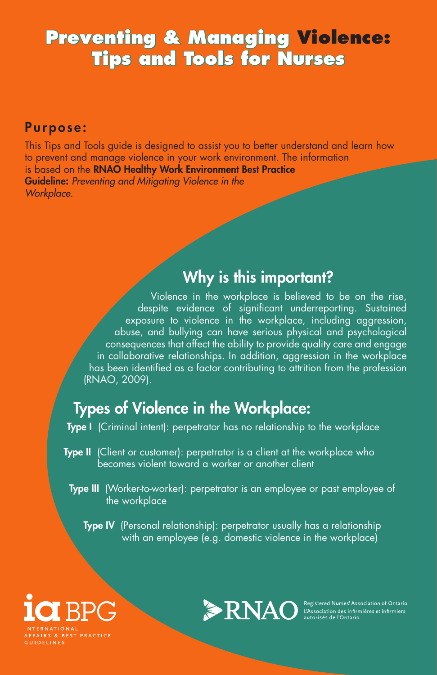# **Preventing & Managing Violence: Tips and Tools for Nurses**

#### Purpose:

This Tips and Tools guide is designed to assist you to better understand and learn how to prevent and manage violence in your work environment. The information is based on the RNAO Healthy Work Environment Best Practice Guideline: *Preventing and Mitigating Violence in the Workplace.*

#### Why is this important?

Violence in the workplace is believed to be on the rise, despite evidence of significant underreporting. Sustained exposure to violence in the workplace, including aggression, abuse, and bullying can have serious physical and psychological consequences that affect the ability to provide quality care and engage in collaborative relationships. In addition, aggression in the workplace has been identified as a factor contributing to attrition from the profession (RNAO, 2009).

# Types of Violence in the Workplace:

- Type I (Criminal intent): perpetrator has no relationship to the workplace
- **Type II** (Client or customer): perpetrator is a client at the workplace who becomes violent toward a worker or another client
- Type III (Worker-to-worker): perpetrator is an employee or past employee of the workplace

**Type IV** (Personal relationship): perpetrator usually has a relationship with an employee (e.g. domestic violence in the workplace)



**GUIDELINES** 

**ENAO** Registered Nurses' Association of Ontario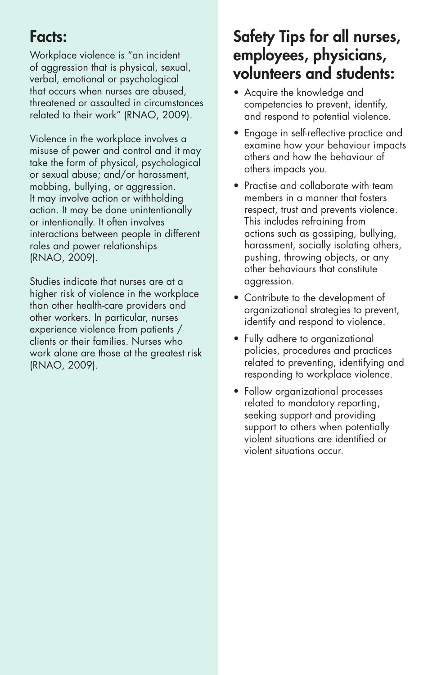### Facts:

Workplace violence is "an incident of aggression that is physical, sexual, verbal, emotional or psychological that occurs when nurses are abused, threatened or assaulted in circumstances related to their work" (RNAO, 2009).

Violence in the workplace involves a misuse of power and control and it may take the form of physical, psychological or sexual abuse; and/or harassment, mobbing, bullying, or aggression. It may involve action or withholding action. It may be done unintentionally or intentionally. It often involves interactions between people in different roles and power relationships (RNAO, 2009).

Studies indicate that nurses are at a higher risk of violence in the workplace than other health-care providers and other workers. In particular, nurses experience violence from patients / clients or their families. Nurses who work alone are those at the greatest risk (RNAO, 2009).

# Safety Tips for all nurses, employees, physicians, volunteers and students:

- Acquire the knowledge and competencies to prevent, identify, and respond to potential violence.
- Engage in self-reflective practice and examine how your behaviour impacts others and how the behaviour of others impacts you.
- Practise and collaborate with team members in a manner that fosters respect, trust and prevents violence. This includes refraining from actions such as gossiping, bullying, harassment, socially isolating others, pushing, throwing objects, or any other behaviours that constitute aggression.
- Contribute to the development of organizational strategies to prevent, identify and respond to violence.
- Fully adhere to organizational policies, procedures and practices related to preventing, identifying and responding to workplace violence.
- Follow organizational processes related to mandatory reporting, seeking support and providing support to others when potentially violent situations are identified or violent situations occur.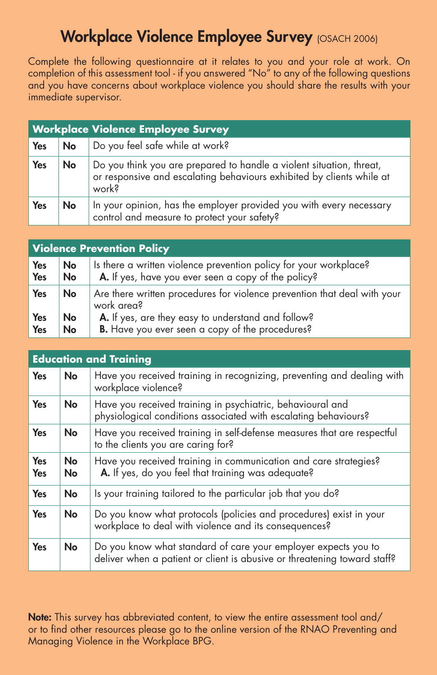#### Workplace Violence Employee Survey (OSACH 2006)

Complete the following questionnaire at it relates to you and your role at work. On completion of this assessment tool - if you answered "No" to any of the following questions and you have concerns about workplace violence you should share the results with your immediate supervisor.

| <b>Workplace Violence Employee Survey</b> |    |                                                                                                                                                                    |  |  |
|-------------------------------------------|----|--------------------------------------------------------------------------------------------------------------------------------------------------------------------|--|--|
| Yes                                       | No | Do you feel safe while at work?                                                                                                                                    |  |  |
| Yes                                       | No | Do you think you are prepared to handle a violent situation, threat,<br>or responsive and escalating behaviours exhibited by clients while at<br>work <sup>3</sup> |  |  |
| Yes                                       | No | In your opinion, has the employer provided you with every necessary control and measure to protect your safety?                                                    |  |  |

| <b>Violence Prevention Policy</b> |    |                                                                                        |  |  |
|-----------------------------------|----|----------------------------------------------------------------------------------------|--|--|
| <b>Yes</b>                        | No | Is there a written violence prevention policy for your workplace?                      |  |  |
| Yes                               | No | A. If yes, have you ever seen a copy of the policy?                                    |  |  |
| Yes                               | No | Are there written procedures for violence prevention that deal with your<br>work area? |  |  |
| Yes                               | No | A. If yes, are they easy to understand and follow?                                     |  |  |
| Yes                               | No | B. Have you ever seen a copy of the procedures?                                        |  |  |

| <b>Education and Training</b> |                        |                                                                                                                                            |  |  |
|-------------------------------|------------------------|--------------------------------------------------------------------------------------------------------------------------------------------|--|--|
| <b>Yes</b>                    | No                     | Have you received training in recognizing, preventing and dealing with<br>workplace violence?                                              |  |  |
| Yes                           | No                     | Have you received training in psychiatric, behavioural and<br>physiological conditions associated with escalating behaviours?              |  |  |
| Yes                           | No                     | Have you received training in self-defense measures that are respectful<br>to the clients you are caring for?                              |  |  |
| <b>Yes</b><br><b>Yes</b>      | <b>No</b><br><b>No</b> | Have you received training in communication and care strategies?<br>A. If yes, do you feel that training was adequate?                     |  |  |
| Yes                           | No                     | Is your training tailored to the particular job that you do?                                                                               |  |  |
| Yes                           | No                     | Do you know what protocols (policies and procedures) exist in your<br>workplace to deal with violence and its consequences?                |  |  |
| Yes                           | No                     | Do you know what standard of care your employer expects you to<br>deliver when a patient or client is abusive or threatening toward staff? |  |  |

Note: This survey has abbreviated content, to view the entire assessment tool and/ or to find other resources please go to the online version of the RNAO Preventing and Managing Violence in the Workplace BPG.